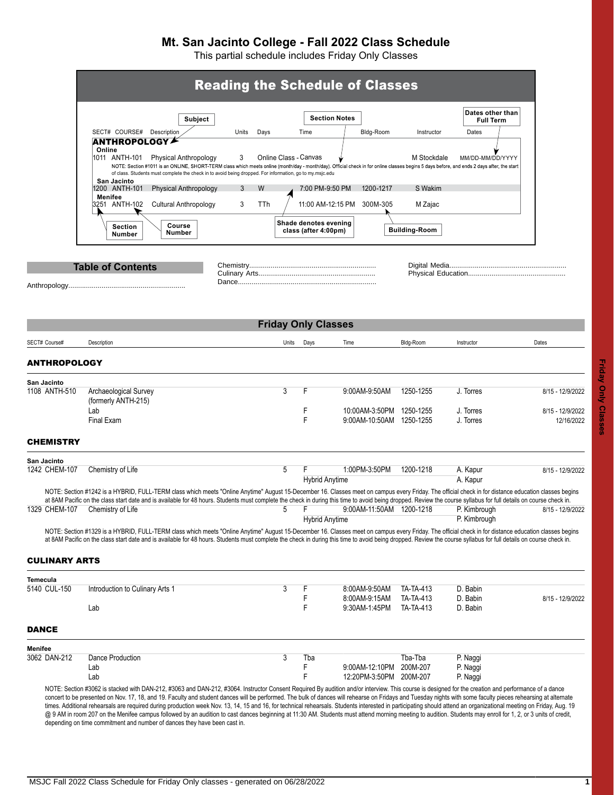## **Mt. San Jacinto College - Fall 2022 Class Schedule**

This partial schedule includes Friday Only Classes

|                              | <b>Subject</b>                                                                                                                                                                                                                                                                                                                                                                                                        |       |                       |                                               | <b>Section Notes</b>                                 |                               | Dates other than<br><b>Full Term</b> |                                |
|------------------------------|-----------------------------------------------------------------------------------------------------------------------------------------------------------------------------------------------------------------------------------------------------------------------------------------------------------------------------------------------------------------------------------------------------------------------|-------|-----------------------|-----------------------------------------------|------------------------------------------------------|-------------------------------|--------------------------------------|--------------------------------|
|                              | SECT# COURSE# Description                                                                                                                                                                                                                                                                                                                                                                                             | Units | Days                  | Time                                          | Bldg-Room                                            | Instructor                    | Dates                                |                                |
|                              | ANTHROPOLOGY<br>Online                                                                                                                                                                                                                                                                                                                                                                                                |       |                       |                                               |                                                      |                               |                                      |                                |
|                              | <b>Physical Anthropology</b><br>1011 ANTH-101<br>NOTE: Section #1011 is an ONLINE, SHORT-TERM class which meets online (month/day - month/day). Official check in for online classes begins 5 days before, and ends 2 days after, the start<br>of class. Students must complete the check in to avoid being dropped. For information, go to my.msjc.edu                                                               | 3     | Online Class - Canvas |                                               |                                                      | M Stockdale                   | MM/DD-MM/DD/YYYY                     |                                |
|                              | San Jacinto<br>1200 ANTH-101<br><b>Physical Anthropology</b><br>Menifee                                                                                                                                                                                                                                                                                                                                               | 3     | W                     | 7:00 PM-9:50 PM                               | 1200-1217                                            | S Wakim                       |                                      |                                |
|                              | 3251 ANTH-102<br><b>Cultural Anthropology</b>                                                                                                                                                                                                                                                                                                                                                                         | 3     | TTh                   | 11:00 AM-12:15 PM                             | 300M-305                                             | M Zajac                       |                                      |                                |
|                              | Course<br>Section<br>Number<br>Number                                                                                                                                                                                                                                                                                                                                                                                 |       |                       | Shade denotes evening<br>class (after 4:00pm) |                                                      | <b>Building-Room</b>          |                                      |                                |
|                              | <b>Table of Contents</b>                                                                                                                                                                                                                                                                                                                                                                                              |       |                       |                                               |                                                      |                               |                                      |                                |
|                              |                                                                                                                                                                                                                                                                                                                                                                                                                       |       |                       |                                               |                                                      |                               |                                      |                                |
|                              |                                                                                                                                                                                                                                                                                                                                                                                                                       |       |                       |                                               |                                                      |                               |                                      |                                |
|                              |                                                                                                                                                                                                                                                                                                                                                                                                                       |       |                       |                                               |                                                      |                               |                                      |                                |
|                              |                                                                                                                                                                                                                                                                                                                                                                                                                       |       |                       | <b>Friday Only Classes</b>                    |                                                      |                               |                                      |                                |
| SECT# Course#                | Description                                                                                                                                                                                                                                                                                                                                                                                                           |       | Units                 | Days                                          | Time                                                 | Bldg-Room                     | Instructor                           | Dates                          |
| ANTHROPOLOGY                 |                                                                                                                                                                                                                                                                                                                                                                                                                       |       |                       |                                               |                                                      |                               |                                      |                                |
| San Jacinto                  |                                                                                                                                                                                                                                                                                                                                                                                                                       |       |                       |                                               |                                                      |                               |                                      |                                |
| 1108 ANTH-510                | Archaeological Survey<br>(formerly ANTH-215)                                                                                                                                                                                                                                                                                                                                                                          |       | 3                     | F.                                            | 9:00AM-9:50AM                                        | 1250-1255                     | J. Torres                            | 8/15 - 12/9/2022               |
|                              | Lab<br>Final Exam                                                                                                                                                                                                                                                                                                                                                                                                     |       |                       | F<br>F                                        | 10:00AM-3:50PM 1250-1255<br>9:00AM-10:50AM 1250-1255 |                               | J. Torres<br>J. Torres               | 8/15 - 12/9/2022<br>12/16/2022 |
|                              |                                                                                                                                                                                                                                                                                                                                                                                                                       |       |                       |                                               |                                                      |                               |                                      |                                |
| <b>CHEMISTRY</b>             |                                                                                                                                                                                                                                                                                                                                                                                                                       |       |                       |                                               |                                                      |                               |                                      |                                |
| San Jacinto<br>1242 CHEM-107 | Chemistry of Life                                                                                                                                                                                                                                                                                                                                                                                                     |       | 5                     | F.<br><b>Hybrid Anytime</b>                   | 1:00PM-3:50PM                                        | 1200-1218                     | A. Kapur<br>A. Kapur                 | 8/15 - 12/9/2022               |
|                              | NOTE: Section #1242 is a HYBRID, FULL-TERM class which meets "Online Anytime" August 15-December 16. Classes meet on campus every Friday. The official check in for distance education classes begins                                                                                                                                                                                                                 |       |                       |                                               |                                                      |                               |                                      |                                |
| 1329 CHEM-107                | at 8AM Pacific on the class start date and is available for 48 hours. Students must complete the check in during this time to avoid being dropped. Review the course syllabus for full details on course check in.<br>Chemistry of Life                                                                                                                                                                               |       | 5                     | F                                             | 9:00AM-11:50AM 1200-1218                             |                               | P. Kimbrough                         | 8/15 - 12/9/2022               |
|                              | NOTE: Section #1329 is a HYBRID, FULL-TERM class which meets "Online Anytime" August 15-December 16. Classes meet on campus every Friday. The official check in for distance education classes begins                                                                                                                                                                                                                 |       |                       | <b>Hybrid Anytime</b>                         |                                                      |                               | P. Kimbrough                         |                                |
|                              | at 8AM Pacific on the class start date and is available for 48 hours. Students must complete the check in during this time to avoid being dropped. Review the course syllabus for full details on course check in.                                                                                                                                                                                                    |       |                       |                                               |                                                      |                               |                                      |                                |
| <b>CULINARY ARTS</b>         |                                                                                                                                                                                                                                                                                                                                                                                                                       |       |                       |                                               |                                                      |                               |                                      |                                |
| Temecula                     |                                                                                                                                                                                                                                                                                                                                                                                                                       |       |                       |                                               |                                                      |                               |                                      |                                |
| 5140 CUL-150                 | Introduction to Culinary Arts 1                                                                                                                                                                                                                                                                                                                                                                                       |       | 3                     | F<br>F                                        | 8:00AM-9:50AM<br>8.00AM-9:15AM                       | <b>TA-TA-413</b><br>TA-TA-413 | D. Babin<br>D. Babin                 | 8/15 - 12/9/2022               |
|                              | Lab                                                                                                                                                                                                                                                                                                                                                                                                                   |       |                       | F                                             | 9:30AM-1:45PM                                        | TA-TA-413                     | D. Babin                             |                                |
| <b>DANCE</b>                 |                                                                                                                                                                                                                                                                                                                                                                                                                       |       |                       |                                               |                                                      |                               |                                      |                                |
| <b>Menifee</b>               |                                                                                                                                                                                                                                                                                                                                                                                                                       |       |                       |                                               |                                                      |                               |                                      |                                |
| 3062 DAN-212                 | Dance Production                                                                                                                                                                                                                                                                                                                                                                                                      |       | 3                     | Tba                                           |                                                      | Tba-Tba                       | P. Naggi                             |                                |
|                              | Lab<br>Lab                                                                                                                                                                                                                                                                                                                                                                                                            |       |                       | F<br>F                                        | 9:00AM-12:10PM<br>12:20PM-3:50PM 200M-207            | 200M-207                      | P. Naggi<br>P. Naggi                 |                                |
|                              | NOTE: Section #3062 is stacked with DAN-212, #3063 and DAN-212, #3064. Instructor Consent Required By audition and/or interview. This course is designed for the creation and performance of a dance<br>concert to be presented on Nov. 17, 18, and 19. Faculty and student dances will be performed. The bulk of dances will rehearse on Fridays and Tuesday nights with some faculty pieces rehearsing at alternate |       |                       |                                               |                                                      |                               |                                      |                                |